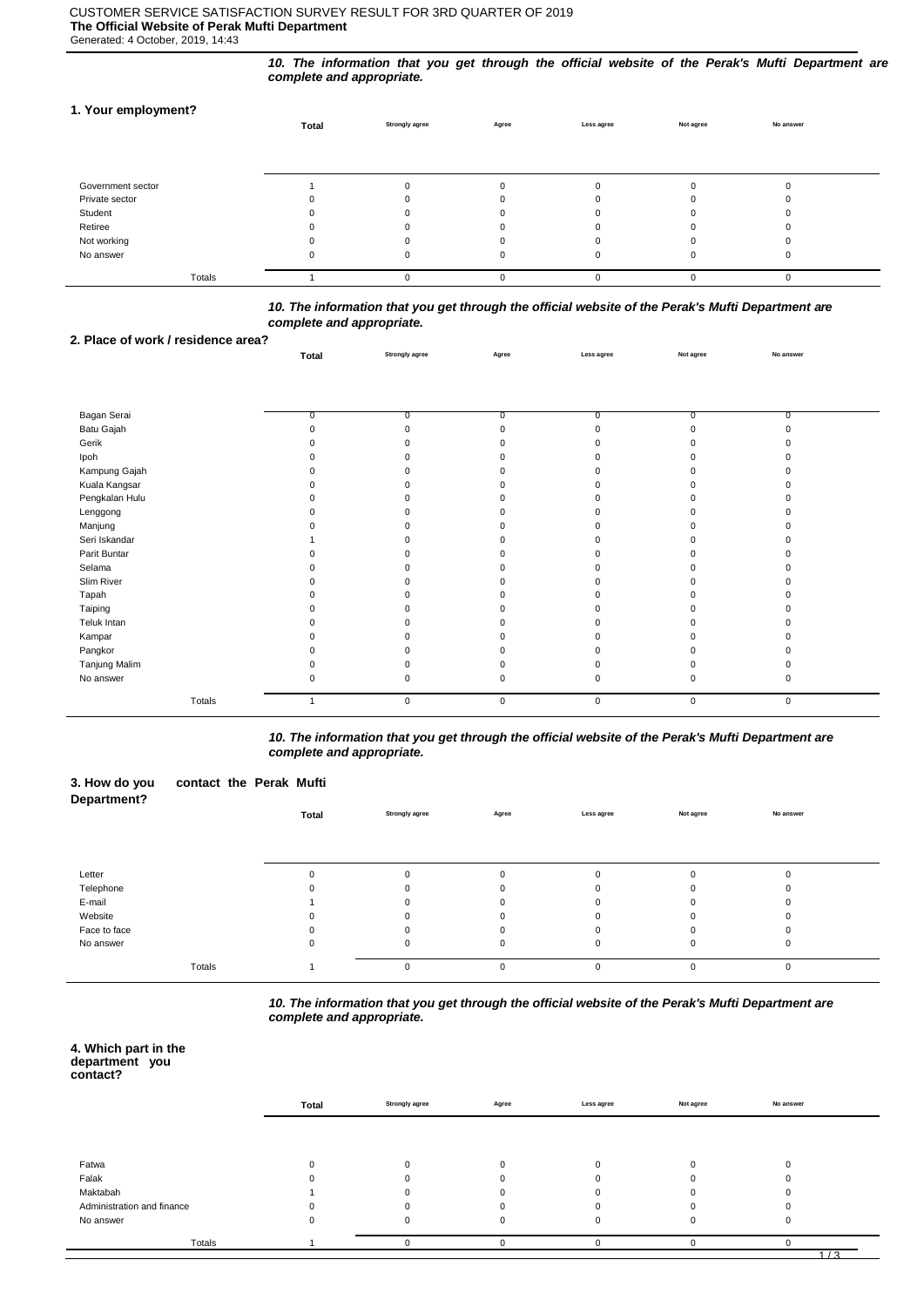# CUSTOMER SERVICE SATISFACTION SURVEY RESULT FOR 3RD QUARTER OF 2019 **The Official Website of Perak Mufti Department**

Generated: 4 October, 2019, 14:43

*10. The information that you get through the official website of the Perak's Mufti Department are complete and appropriate.*

# **1. Your employment?**

|                   | Total | <b>Strongly agree</b> | Agree | Less agree | Not agree | No answer |  |
|-------------------|-------|-----------------------|-------|------------|-----------|-----------|--|
|                   |       |                       |       |            |           |           |  |
|                   |       |                       |       |            |           |           |  |
| Government sector |       |                       |       |            |           |           |  |
| Private sector    |       |                       |       |            |           |           |  |
| Student           |       |                       |       |            |           |           |  |
| Retiree           |       |                       |       |            |           |           |  |
| Not working       |       |                       |       |            |           |           |  |
| No answer         |       | O                     |       | 0          |           |           |  |
| Totals            |       | O                     |       | $\Omega$   |           | O         |  |

### *10. The information that you get through the official website of the Perak's Mufti Department are complete and appropriate.*

**Total Strongly agree Agree Less agree Not agree No answer**

### **2. Place of work / residence area?**

| Bagan Serai    | 0.          | $\Omega$    | 0         | $\Omega$  | n           |  |
|----------------|-------------|-------------|-----------|-----------|-------------|--|
| Batu Gajah     |             |             | $\Omega$  |           |             |  |
| Gerik          |             |             |           |           |             |  |
| Ipoh           |             |             |           |           |             |  |
| Kampung Gajah  |             |             |           |           |             |  |
| Kuala Kangsar  |             |             |           |           |             |  |
| Pengkalan Hulu |             |             |           |           |             |  |
| Lenggong       |             |             |           |           |             |  |
| Manjung        |             |             |           |           |             |  |
| Seri Iskandar  |             |             |           |           |             |  |
| Parit Buntar   |             |             |           |           |             |  |
| Selama         |             |             |           |           |             |  |
| Slim River     |             |             |           |           |             |  |
| Tapah          |             |             |           |           |             |  |
| Taiping        |             |             |           |           |             |  |
| Teluk Intan    |             |             |           |           |             |  |
| Kampar         |             |             |           |           |             |  |
| Pangkor        |             |             |           |           |             |  |
| Tanjung Malim  |             |             |           |           |             |  |
| No answer      |             |             |           |           |             |  |
| Totals         | $\mathbf 0$ | $\mathsf 0$ | $\pmb{0}$ | $\pmb{0}$ | $\mathbf 0$ |  |

*10. The information that you get through the official website of the Perak's Mufti Department are complete and appropriate.*

| 3. How do you<br><b>Department?</b> | contact the Perak Mufti |       |                       |          |             |           |             |  |
|-------------------------------------|-------------------------|-------|-----------------------|----------|-------------|-----------|-------------|--|
|                                     |                         | Total | <b>Strongly agree</b> | Agree    | Less agree  | Not agree | No answer   |  |
|                                     |                         |       |                       |          |             |           |             |  |
|                                     |                         |       |                       |          |             |           |             |  |
| Letter                              |                         |       | $\mathbf 0$           | 0        | $\mathbf 0$ | 0         |             |  |
| Telephone                           |                         |       | 0                     |          | $\Omega$    | O         |             |  |
| E-mail                              |                         |       | 0                     | 0        | $\Omega$    | 0         |             |  |
| Website                             |                         |       | ŋ                     |          | O           | n         |             |  |
| Face to face                        |                         |       | $\Omega$              | $\Omega$ | $\mathbf 0$ | $\Omega$  |             |  |
| No answer                           |                         | 0     | $\mathbf 0$           | 0        | $\mathbf 0$ | 0         | 0           |  |
|                                     | Totals                  |       | $\mathbf 0$           | 0        | $\mathbf 0$ | 0         | $\mathbf 0$ |  |

*10. The information that you get through the official website of the Perak's Mufti Department are complete and appropriate.*

#### **4. Which part in the department you contact?**

|                            | Total | <b>Strongly agree</b> | Agree | Less agree | Not agree | No answer |  |
|----------------------------|-------|-----------------------|-------|------------|-----------|-----------|--|
|                            |       |                       |       |            |           |           |  |
| Fatwa                      |       |                       |       | $\Omega$   |           |           |  |
| Falak                      |       |                       |       |            |           |           |  |
| Maktabah                   |       |                       |       |            |           |           |  |
| Administration and finance |       |                       |       |            |           |           |  |
| No answer                  |       | $\Omega$              |       | $\Omega$   |           |           |  |
| Totals                     |       |                       |       |            |           |           |  |
|                            |       |                       |       |            |           | 1/3       |  |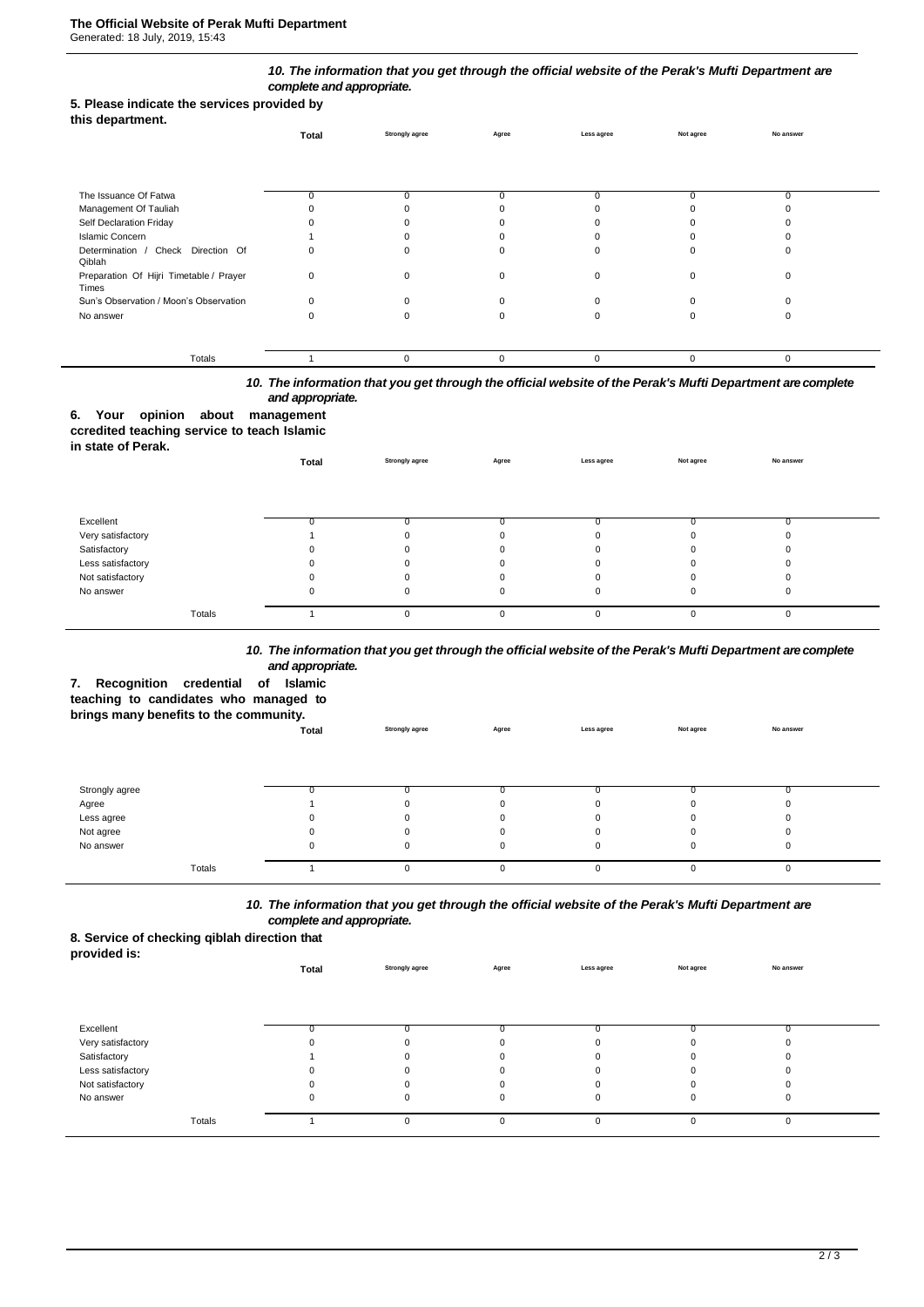### *10. The information that you get through the official website of the Perak's Mufti Department are complete and appropriate.*

### **5. Please indicate the services provided by**

|  | this department. |
|--|------------------|
|--|------------------|

|                                                  | Total    | Strongly agree | Agree | Less agree | Not agree | No answer |  |
|--------------------------------------------------|----------|----------------|-------|------------|-----------|-----------|--|
|                                                  |          |                |       |            |           |           |  |
| The Issuance Of Fatwa                            |          |                |       | $\Omega$   |           | O         |  |
| Management Of Tauliah                            |          |                |       |            |           |           |  |
| Self Declaration Friday                          |          |                |       |            |           |           |  |
| <b>Islamic Concern</b>                           |          |                |       |            |           |           |  |
| Determination / Check Direction Of<br>Qiblah     |          |                |       |            |           |           |  |
| Preparation Of Hijri Timetable / Prayer<br>Times | $\Omega$ |                |       | $\Omega$   |           |           |  |
| Sun's Observation / Moon's Observation           |          |                |       |            |           |           |  |
| No answer                                        |          |                |       |            |           |           |  |
|                                                  |          |                |       |            |           |           |  |
| Totals                                           |          |                |       | $\Omega$   | $\Omega$  | $\Omega$  |  |

# *10. The information that you get through the official website of the Perak's Mufti Department are complete and appropriate.*

# **6. Your opinion about management**

# **ccredited teaching service to teach Islamic**

| in state of Perak. |       |                       |              |             |           |           |  |
|--------------------|-------|-----------------------|--------------|-------------|-----------|-----------|--|
|                    | Total | <b>Strongly agree</b> | Agree        | Less agree  | Not agree | No answer |  |
|                    |       |                       |              |             |           |           |  |
|                    |       |                       |              |             |           |           |  |
| Excellent          | 0     |                       |              |             |           |           |  |
| Very satisfactory  |       | $\Omega$              | $\Omega$     |             |           |           |  |
| Satisfactory       | 0     |                       | 0            |             |           |           |  |
| Less satisfactory  | 0     | O                     | <sup>0</sup> |             |           |           |  |
| Not satisfactory   | 0     | O                     | 0            |             |           |           |  |
| No answer          | 0     | 0                     | 0            | 0           |           |           |  |
| Totals             |       | 0                     | 0            | $\mathbf 0$ |           |           |  |

### *10. The information that you get through the official website of the Perak's Mufti Department are complete and appropriate.*

# **7. Recognition credential of Islamic**

**teaching to candidates who managed to** 

### **brings many benefits to the community.**

|                | Total | <b>Strongly agree</b> | Agree | Less agree | Not agree | No answer |  |
|----------------|-------|-----------------------|-------|------------|-----------|-----------|--|
|                |       |                       |       |            |           |           |  |
|                |       |                       |       |            |           |           |  |
|                |       |                       |       |            |           |           |  |
| Strongly agree |       |                       |       |            |           |           |  |
| Agree          |       |                       |       |            | 0         |           |  |
| Less agree     | 0     |                       |       |            | 0         |           |  |
| Not agree      | 0     |                       |       |            | 0         |           |  |
| No answer      | 0     |                       |       |            | 0         |           |  |
|                |       |                       |       |            |           |           |  |
| Totals         |       |                       |       |            | $\Omega$  |           |  |
|                |       |                       |       |            |           |           |  |

# *10. The information that you get through the official website of the Perak's Mufti Department are complete and appropriate.*

# **8. Service of checking qiblah direction that**

| __<br>provided is: |       |                       |          |             |           |           |  |
|--------------------|-------|-----------------------|----------|-------------|-----------|-----------|--|
|                    | Total | <b>Strongly agree</b> | Agree    | Less agree  | Not agree | No answer |  |
|                    |       |                       |          |             |           |           |  |
|                    |       |                       |          |             |           |           |  |
|                    |       |                       |          |             |           |           |  |
| Excellent          |       |                       |          |             |           |           |  |
| Very satisfactory  |       |                       |          |             |           |           |  |
| Satisfactory       |       |                       |          |             |           |           |  |
| Less satisfactory  |       |                       |          |             |           |           |  |
| Not satisfactory   |       |                       |          |             |           |           |  |
| No answer          | U     |                       |          | $\mathbf 0$ | $\Omega$  | 0         |  |
|                    |       |                       |          |             |           |           |  |
| Totals             |       |                       | $\Omega$ | $\Omega$    | 0         | 0         |  |